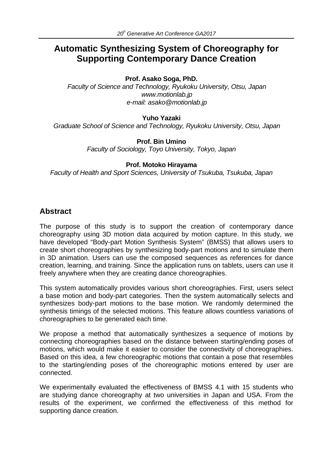# **Automatic Synthesizing System of Choreography for Supporting Contemporary Dance Creation**

#### **Prof. Asako Soga, PhD.**

*Faculty of Science and Technology, Ryukoku University, Otsu, Japan www.motionlab.jp e-mail: asako@motionlab.jp*

#### **Yuho Yazaki**

*Graduate School of Science and Technology, Ryukoku University, Otsu, Japan*

**Prof. Bin Umino** *Faculty of Sociology, Toyo University, Tokyo, Japan*

#### **Prof. Motoko Hirayama**

*Faculty of Health and Sport Sciences, University of Tsukuba, Tsukuba, Japan*

## **Abstract**

The purpose of this study is to support the creation of contemporary dance choreography using 3D motion data acquired by motion capture. In this study, we have developed "Body-part Motion Synthesis System" (BMSS) that allows users to create short choreographies by synthesizing body-part motions and to simulate them in 3D animation. Users can use the composed sequences as references for dance creation, learning, and training. Since the application runs on tablets, users can use it freely anywhere when they are creating dance choreographies.

This system automatically provides various short choreographies. First, users select a base motion and body-part categories. Then the system automatically selects and synthesizes body-part motions to the base motion. We randomly determined the synthesis timings of the selected motions. This feature allows countless variations of choreographies to be generated each time.

We propose a method that automatically synthesizes a sequence of motions by connecting choreographies based on the distance between starting/ending poses of motions, which would make it easier to consider the connectivity of choreographies. Based on this idea, a few choreographic motions that contain a pose that resembles to the starting/ending poses of the choreographic motions entered by user are connected.

We experimentally evaluated the effectiveness of BMSS 4.1 with 15 students who are studying dance choreography at two universities in Japan and USA. From the results of the experiment, we confirmed the effectiveness of this method for supporting dance creation.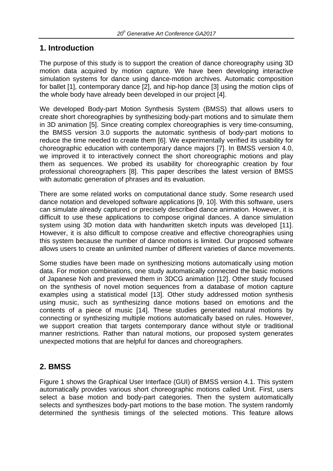## **1. Introduction**

The purpose of this study is to support the creation of dance choreography using 3D motion data acquired by motion capture. We have been developing interactive simulation systems for dance using dance-motion archives. Automatic composition for ballet [1], contemporary dance [2], and hip-hop dance [3] using the motion clips of the whole body have already been developed in our project [4].

We developed Body-part Motion Synthesis System (BMSS) that allows users to create short choreographies by synthesizing body-part motions and to simulate them in 3D animation [5]. Since creating complex choreographies is very time-consuming, the BMSS version 3.0 supports the automatic synthesis of body-part motions to reduce the time needed to create them [6]. We experimentally verified its usability for choreographic education with contemporary dance majors [7]. In BMSS version 4.0, we improved it to interactively connect the short choreographic motions and play them as sequences. We probed its usability for choreographic creation by four professional choreographers [8]. This paper describes the latest version of BMSS with automatic generation of phrases and its evaluation.

There are some related works on computational dance study. Some research used dance notation and developed software applications [9, 10]. With this software, users can simulate already captured or precisely described dance animation. However, it is difficult to use these applications to compose original dances. A dance simulation system using 3D motion data with handwritten sketch inputs was developed [11]. However, it is also difficult to compose creative and effective choreographies using this system because the number of dance motions is limited. Our proposed software allows users to create an unlimited number of different varieties of dance movements.

Some studies have been made on synthesizing motions automatically using motion data. For motion combinations, one study automatically connected the basic motions of Japanese Noh and previewed them in 3DCG animation [12]. Other study focused on the synthesis of novel motion sequences from a database of motion capture examples using a statistical model [13]. Other study addressed motion synthesis using music, such as synthesizing dance motions based on emotions and the contents of a piece of music [14]. These studies generated natural motions by connecting or synthesizing multiple motions automatically based on rules. However, we support creation that targets contemporary dance without style or traditional manner restrictions. Rather than natural motions, our proposed system generates unexpected motions that are helpful for dances and choreographers.

# **2. BMSS**

Figure 1 shows the Graphical User Interface (GUI) of BMSS version 4.1. This system automatically provides various short choreographic motions called Unit. First, users select a base motion and body-part categories. Then the system automatically selects and synthesizes body-part motions to the base motion. The system randomly determined the synthesis timings of the selected motions. This feature allows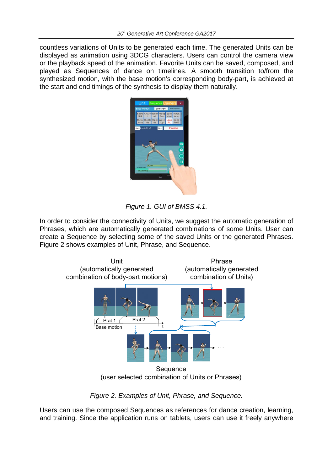countless variations of Units to be generated each time. The generated Units can be displayed as animation using 3DCG characters. Users can control the camera view or the playback speed of the animation. Favorite Units can be saved, composed, and played as Sequences of dance on timelines. A smooth transition to/from the synthesized motion, with the base motion's corresponding body-part, is achieved at the start and end timings of the synthesis to display them naturally.



*Figure 1. GUI of BMSS 4.1.*

In order to consider the connectivity of Units, we suggest the automatic generation of Phrases, which are automatically generated combinations of some Units. User can create a Sequence by selecting some of the saved Units or the generated Phrases. Figure 2 shows examples of Unit, Phrase, and Sequence.



*Figure 2. Examples of Unit, Phrase, and Sequence.*

Users can use the composed Sequences as references for dance creation, learning, and training. Since the application runs on tablets, users can use it freely anywhere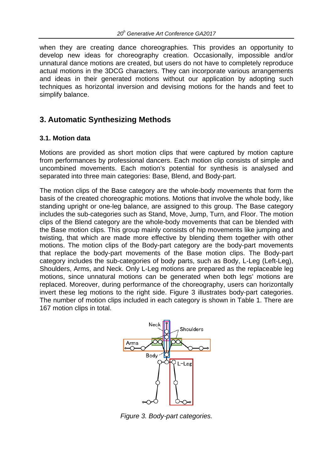when they are creating dance choreographies. This provides an opportunity to develop new ideas for choreography creation. Occasionally, impossible and/or unnatural dance motions are created, but users do not have to completely reproduce actual motions in the 3DCG characters. They can incorporate various arrangements and ideas in their generated motions without our application by adopting such techniques as horizontal inversion and devising motions for the hands and feet to simplify balance.

## **3. Automatic Synthesizing Methods**

#### **3.1. Motion data**

Motions are provided as short motion clips that were captured by motion capture from performances by professional dancers. Each motion clip consists of simple and uncombined movements. Each motion's potential for synthesis is analysed and separated into three main categories: Base, Blend, and Body-part.

The motion clips of the Base category are the whole-body movements that form the basis of the created choreographic motions. Motions that involve the whole body, like standing upright or one-leg balance, are assigned to this group. The Base category includes the sub-categories such as Stand, Move, Jump, Turn, and Floor. The motion clips of the Blend category are the whole-body movements that can be blended with the Base motion clips. This group mainly consists of hip movements like jumping and twisting, that which are made more effective by blending them together with other motions. The motion clips of the Body-part category are the body-part movements that replace the body-part movements of the Base motion clips. The Body-part category includes the sub-categories of body parts, such as Body, L-Leg (Left-Leg), Shoulders, Arms, and Neck. Only L-Leg motions are prepared as the replaceable leg motions, since unnatural motions can be generated when both legs' motions are replaced. Moreover, during performance of the choreography, users can horizontally invert these leg motions to the right side. Figure 3 illustrates body-part categories. The number of motion clips included in each category is shown in Table 1. There are 167 motion clips in total.



*Figure 3. Body-part categories.*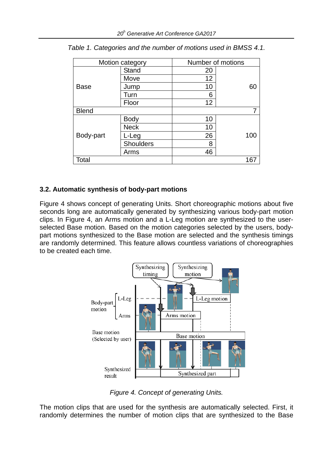| Motion category |              | Number of motions |     |
|-----------------|--------------|-------------------|-----|
| <b>Base</b>     | <b>Stand</b> | 20                |     |
|                 | Move         | 12                |     |
|                 | Jump         | 10                | 60  |
|                 | Turn         | 6                 |     |
|                 | Floor        | 12                |     |
| <b>Blend</b>    |              |                   | 7   |
| Body-part       | <b>Body</b>  | 10                |     |
|                 | <b>Neck</b>  | 10                |     |
|                 | L-Leg        | 26                | 100 |
|                 | Shoulders    | 8                 |     |
|                 | Arms         | 46                |     |
| Total           |              |                   | 167 |

*Table 1. Categories and the number of motions used in BMSS 4.1.*

### **3.2. Automatic synthesis of body-part motions**

Figure 4 shows concept of generating Units. Short choreographic motions about five seconds long are automatically generated by synthesizing various body-part motion clips. In Figure 4, an Arms motion and a L-Leg motion are synthesized to the userselected Base motion. Based on the motion categories selected by the users, bodypart motions synthesized to the Base motion are selected and the synthesis timings are randomly determined. This feature allows countless variations of choreographies to be created each time.



*Figure 4. Concept of generating Units.*

The motion clips that are used for the synthesis are automatically selected. First, it randomly determines the number of motion clips that are synthesized to the Base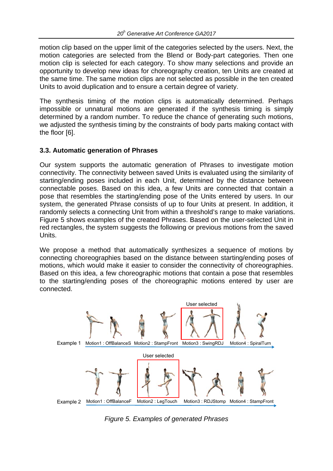motion clip based on the upper limit of the categories selected by the users. Next, the motion categories are selected from the Blend or Body-part categories. Then one motion clip is selected for each category. To show many selections and provide an opportunity to develop new ideas for choreography creation, ten Units are created at the same time. The same motion clips are not selected as possible in the ten created Units to avoid duplication and to ensure a certain degree of variety.

The synthesis timing of the motion clips is automatically determined. Perhaps impossible or unnatural motions are generated if the synthesis timing is simply determined by a random number. To reduce the chance of generating such motions, we adjusted the synthesis timing by the constraints of body parts making contact with the floor [6].

#### **3.3. Automatic generation of Phrases**

Our system supports the automatic generation of Phrases to investigate motion connectivity. The connectivity between saved Units is evaluated using the similarity of starting/ending poses included in each Unit, determined by the distance between connectable poses. Based on this idea, a few Units are connected that contain a pose that resembles the starting/ending pose of the Units entered by users. In our system, the generated Phrase consists of up to four Units at present. In addition, it randomly selects a connecting Unit from within a threshold's range to make variations. Figure 5 shows examples of the created Phrases. Based on the user-selected Unit in red rectangles, the system suggests the following or previous motions from the saved Units.

We propose a method that automatically synthesizes a sequence of motions by connecting choreographies based on the distance between starting/ending poses of motions, which would make it easier to consider the connectivity of choreographies. Based on this idea, a few choreographic motions that contain a pose that resembles to the starting/ending poses of the choreographic motions entered by user are connected.



*Figure 5. Examples of generated Phrases*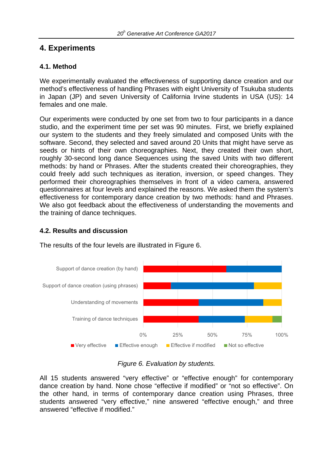# **4. Experiments**

### **4.1. Method**

We experimentally evaluated the effectiveness of supporting dance creation and our method's effectiveness of handling Phrases with eight University of Tsukuba students in Japan (JP) and seven University of California Irvine students in USA (US): 14 females and one male.

Our experiments were conducted by one set from two to four participants in a dance studio, and the experiment time per set was 90 minutes. First, we briefly explained our system to the students and they freely simulated and composed Units with the software. Second, they selected and saved around 20 Units that might have serve as seeds or hints of their own choreographies. Next, they created their own short, roughly 30-second long dance Sequences using the saved Units with two different methods: by hand or Phrases. After the students created their choreographies, they could freely add such techniques as iteration, inversion, or speed changes. They performed their choreographies themselves in front of a video camera, answered questionnaires at four levels and explained the reasons. We asked them the system's effectiveness for contemporary dance creation by two methods: hand and Phrases. We also got feedback about the effectiveness of understanding the movements and the training of dance techniques.

### **4.2. Results and discussion**



The results of the four levels are illustrated in Figure 6.

#### *Figure 6. Evaluation by students.*

All 15 students answered "very effective" or "effective enough" for contemporary dance creation by hand. None chose "effective if modified" or "not so effective". On the other hand, in terms of contemporary dance creation using Phrases, three students answered "very effective," nine answered "effective enough," and three answered "effective if modified."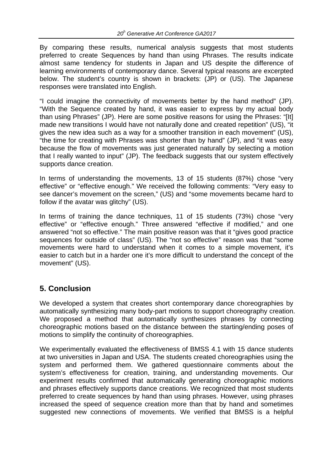By comparing these results, numerical analysis suggests that most students preferred to create Sequences by hand than using Phrases. The results indicate almost same tendency for students in Japan and US despite the difference of learning environments of contemporary dance. Several typical reasons are excerpted below. The student's country is shown in brackets: (JP) or (US). The Japanese responses were translated into English.

"I could imagine the connectivity of movements better by the hand method" (JP). "With the Sequence created by hand, it was easier to express by my actual body than using Phrases" (JP). Here are some positive reasons for using the Phrases: "[It] made new transitions I would have not naturally done and created repetition" (US), "it gives the new idea such as a way for a smoother transition in each movement" (US), "the time for creating with Phrases was shorter than by hand" (JP), and "it was easy because the flow of movements was just generated naturally by selecting a motion that I really wanted to input" (JP). The feedback suggests that our system effectively supports dance creation.

In terms of understanding the movements, 13 of 15 students (87%) chose "very effective" or "effective enough." We received the following comments: "Very easy to see dancer's movement on the screen," (US) and "some movements became hard to follow if the avatar was glitchy" (US).

In terms of training the dance techniques, 11 of 15 students (73%) chose "very effective" or "effective enough." Three answered "effective if modified," and one answered "not so effective." The main positive reason was that it "gives good practice sequences for outside of class" (US). The "not so effective" reason was that "some movements were hard to understand when it comes to a simple movement, it's easier to catch but in a harder one it's more difficult to understand the concept of the movement" (US).

# **5. Conclusion**

We developed a system that creates short contemporary dance choreographies by automatically synthesizing many body-part motions to support choreography creation. We proposed a method that automatically synthesizes phrases by connecting choreographic motions based on the distance between the starting/ending poses of motions to simplify the continuity of choreographies.

We experimentally evaluated the effectiveness of BMSS 4.1 with 15 dance students at two universities in Japan and USA. The students created choreographies using the system and performed them. We gathered questionnaire comments about the system's effectiveness for creation, training, and understanding movements. Our experiment results confirmed that automatically generating choreographic motions and phrases effectively supports dance creations. We recognized that most students preferred to create sequences by hand than using phrases. However, using phrases increased the speed of sequence creation more than that by hand and sometimes suggested new connections of movements. We verified that BMSS is a helpful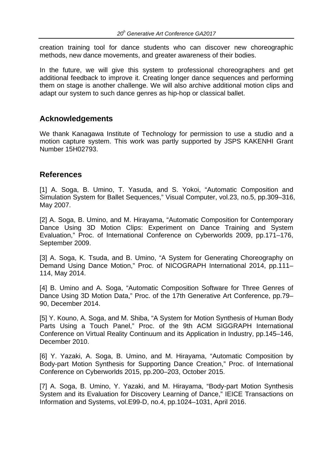creation training tool for dance students who can discover new choreographic methods, new dance movements, and greater awareness of their bodies.

In the future, we will give this system to professional choreographers and get additional feedback to improve it. Creating longer dance sequences and performing them on stage is another challenge. We will also archive additional motion clips and adapt our system to such dance genres as hip-hop or classical ballet.

#### **Acknowledgements**

We thank Kanagawa Institute of Technology for permission to use a studio and a motion capture system. This work was partly supported by JSPS KAKENHI Grant Number 15H02793.

### **References**

[1] A. Soga, B. Umino, T. Yasuda, and S. Yokoi, "Automatic Composition and Simulation System for Ballet Sequences," Visual Computer, vol.23, no.5, pp.309–316, May 2007.

[2] A. Soga, B. Umino, and M. Hirayama, "Automatic Composition for Contemporary Dance Using 3D Motion Clips: Experiment on Dance Training and System Evaluation," Proc. of International Conference on Cyberworlds 2009, pp.171–176, September 2009.

[3] A. Soga, K. Tsuda, and B. Umino, "A System for Generating Choreography on Demand Using Dance Motion," Proc. of NICOGRAPH International 2014, pp.111– 114, May 2014.

[4] B. Umino and A. Soga, "Automatic Composition Software for Three Genres of Dance Using 3D Motion Data," Proc. of the 17th Generative Art Conference, pp.79– 90, December 2014.

[5] Y. Kouno, A. Soga, and M. Shiba, "A System for Motion Synthesis of Human Body Parts Using a Touch Panel," Proc. of the 9th ACM SIGGRAPH International Conference on Virtual Reality Continuum and its Application in Industry, pp.145–146, December 2010.

[6] Y. Yazaki, A. Soga, B. Umino, and M. Hirayama, "Automatic Composition by Body-part Motion Synthesis for Supporting Dance Creation," Proc. of International Conference on Cyberworlds 2015, pp.200–203, October 2015.

[7] A. Soga, B. Umino, Y. Yazaki, and M. Hirayama, "Body-part Motion Synthesis System and its Evaluation for Discovery Learning of Dance," IEICE Transactions on Information and Systems, vol.E99-D, no.4, pp.1024–1031, April 2016.